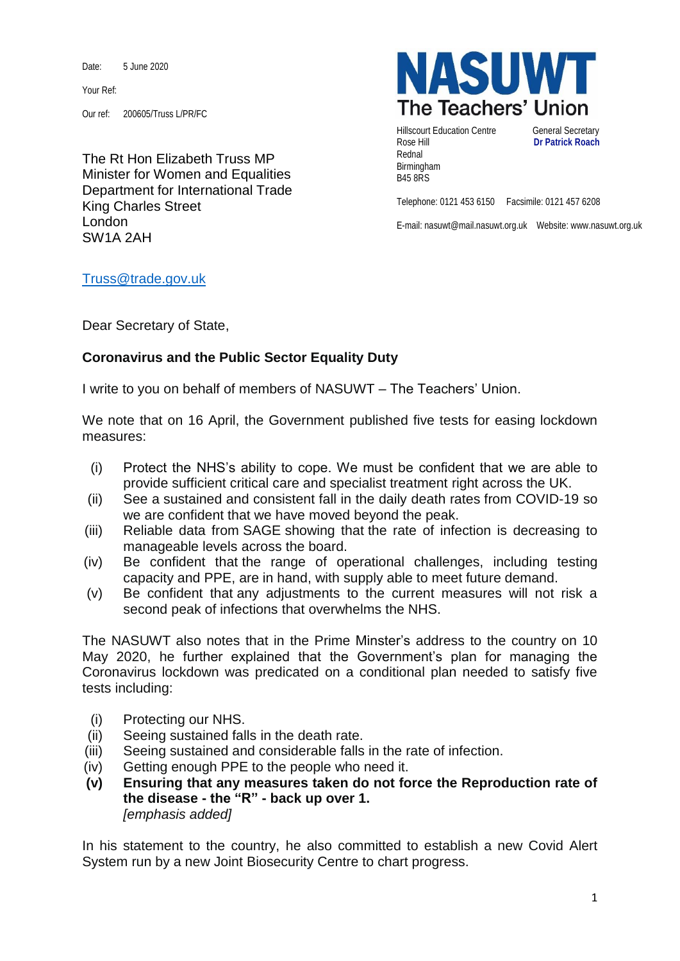Date: 5 June 2020

Your Ref:

Our ref: 200605/Truss L/PR/FC

The Rt Hon Elizabeth Truss MP Minister for Women and Equalities Department for International Trade King Charles Street London SW1A 2AH



Hillscourt Education Centre **General Secretary** Rose Hill **Dr Patrick Roach** Rednal Birmingham B45 8RS

Telephone: 0121 453 6150 Facsimile: 0121 457 6208

E-mail: nasuwt@mail.nasuwt.org.uk Website: www.nasuwt.org.uk

## [Truss@trade.gov.uk](mailto:Truss@trade.gov.uk)

Dear Secretary of State,

## **Coronavirus and the Public Sector Equality Duty**

I write to you on behalf of members of NASUWT – The Teachers' Union.

We note that on 16 April, the Government published five tests for easing lockdown measures:

- (i) Protect the NHS's ability to cope. We must be confident that we are able to provide sufficient critical care and specialist treatment right across the UK.
- (ii) See a sustained and consistent fall in the daily death rates from COVID-19 so we are confident that we have moved beyond the peak.
- (iii) Reliable data from SAGE showing that the rate of infection is decreasing to manageable levels across the board.
- (iv) Be confident that the range of operational challenges, including testing capacity and PPE, are in hand, with supply able to meet future demand.
- (v) Be confident that any adjustments to the current measures will not risk a second peak of infections that overwhelms the NHS.

The NASUWT also notes that in the Prime Minster's address to the country on 10 May 2020, he further explained that the Government's plan for managing the Coronavirus lockdown was predicated on a conditional plan needed to satisfy five tests including:

- (i) Protecting our NHS.
- (ii) Seeing sustained falls in the death rate.
- (iii) Seeing sustained and considerable falls in the rate of infection.
- (iv) Getting enough PPE to the people who need it.
- **(v) Ensuring that any measures taken do not force the Reproduction rate of the disease - the "R" - back up over 1.** *[emphasis added]*

In his statement to the country, he also committed to establish a new Covid Alert System run by a new Joint Biosecurity Centre to chart progress.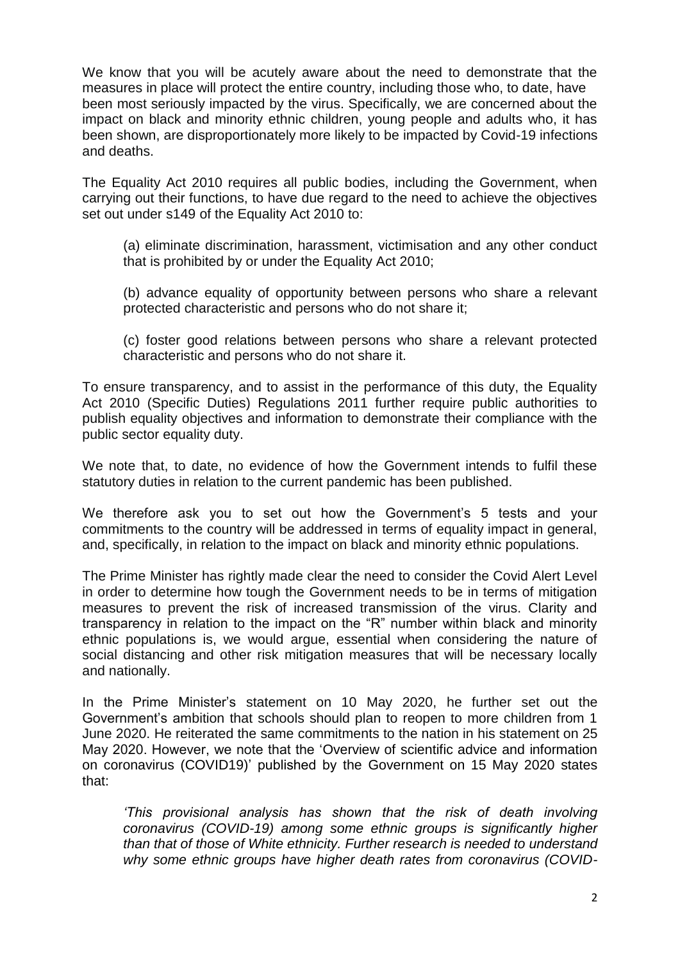We know that you will be acutely aware about the need to demonstrate that the measures in place will protect the entire country, including those who, to date, have been most seriously impacted by the virus. Specifically, we are concerned about the impact on black and minority ethnic children, young people and adults who, it has been shown, are disproportionately more likely to be impacted by Covid-19 infections and deaths.

The Equality Act 2010 requires all public bodies, including the Government, when carrying out their functions, to have due regard to the need to achieve the objectives set out under s149 of the Equality Act 2010 to:

(a) eliminate discrimination, harassment, victimisation and any other conduct that is prohibited by or under the Equality Act 2010;

(b) advance equality of opportunity between persons who share a relevant protected characteristic and persons who do not share it;

(c) foster good relations between persons who share a relevant protected characteristic and persons who do not share it.

To ensure transparency, and to assist in the performance of this duty, the Equality Act 2010 (Specific Duties) Regulations 2011 further require public authorities to publish equality objectives and information to demonstrate their compliance with the public sector equality duty.

We note that, to date, no evidence of how the Government intends to fulfil these statutory duties in relation to the current pandemic has been published.

We therefore ask you to set out how the Government's 5 tests and your commitments to the country will be addressed in terms of equality impact in general, and, specifically, in relation to the impact on black and minority ethnic populations.

The Prime Minister has rightly made clear the need to consider the Covid Alert Level in order to determine how tough the Government needs to be in terms of mitigation measures to prevent the risk of increased transmission of the virus. Clarity and transparency in relation to the impact on the "R" number within black and minority ethnic populations is, we would argue, essential when considering the nature of social distancing and other risk mitigation measures that will be necessary locally and nationally.

In the Prime Minister's statement on 10 May 2020, he further set out the Government's ambition that schools should plan to reopen to more children from 1 June 2020. He reiterated the same commitments to the nation in his statement on 25 May 2020. However, we note that the 'Overview of scientific advice and information on coronavirus (COVID19)' published by the Government on 15 May 2020 states that:

*'This provisional analysis has shown that the risk of death involving coronavirus (COVID-19) among some ethnic groups is significantly higher than that of those of White ethnicity. Further research is needed to understand why some ethnic groups have higher death rates from coronavirus (COVID-*